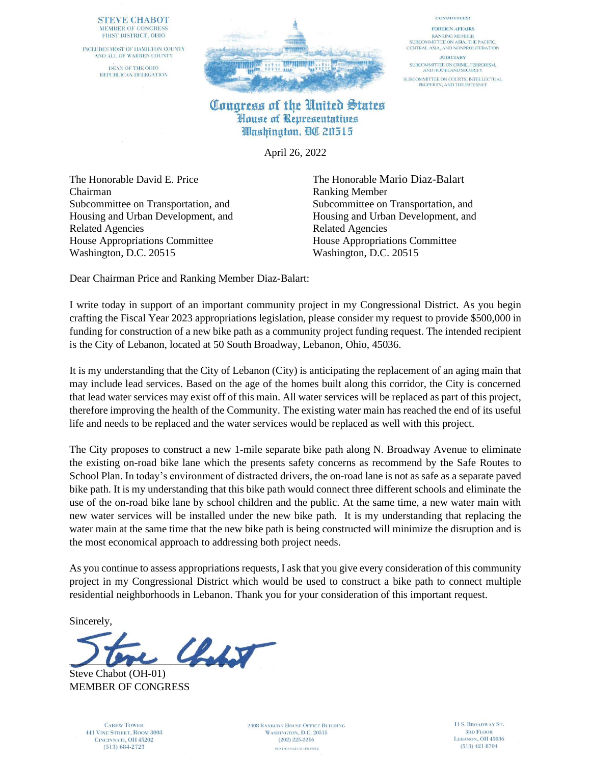### **STEVE CHABOT MEMBER OF CONGRESS** FIRST DISTRICT, OHIO

INCLUDES MOST OF HAMILTON COUNTY AND ALL OF WARREN COUNTY DEAN OF THE OHIO REPUBLICAN DELEGATION



### **COMMITTEES:**

**FOREIGN AFFAIRS RANKING MEMBER** SUBCOMMITTEE ON ASIA, THE PACIFIC, CENTRAL ASIA, AND NONPROLIFERATION

**JUDICIARY** SUBCOMMITTEE ON CRIME, TERRORISM,<br>AND HOMELAND SECURITY SUBCOMMITTEE ON COURTS, INTELLECTUAL<br>PROPERTY, AND THE INTERNET

## Congress of the United States House of Representatives Washington, QC 20515

April 26, 2022

The Honorable David E. Price The Honorable Mario Diaz-Balart Chairman Ranking Member Related Agencies Related Agencies House Appropriations Committee House Appropriations Committee Washington, D.C. 20515 Washington, D.C. 20515

Subcommittee on Transportation, and Subcommittee on Transportation, and Housing and Urban Development, and Housing and Urban Development, and

Dear Chairman Price and Ranking Member Diaz-Balart:

I write today in support of an important community project in my Congressional District. As you begin crafting the Fiscal Year 2023 appropriations legislation, please consider my request to provide \$500,000 in funding for construction of a new bike path as a community project funding request. The intended recipient is the City of Lebanon, located at 50 South Broadway, Lebanon, Ohio, 45036.

It is my understanding that the City of Lebanon (City) is anticipating the replacement of an aging main that may include lead services. Based on the age of the homes built along this corridor, the City is concerned that lead water services may exist off of this main. All water services will be replaced as part of this project, therefore improving the health of the Community. The existing water main has reached the end of its useful life and needs to be replaced and the water services would be replaced as well with this project.

The City proposes to construct a new 1-mile separate bike path along N. Broadway Avenue to eliminate the existing on-road bike lane which the presents safety concerns as recommend by the Safe Routes to School Plan. In today's environment of distracted drivers, the on-road lane is not as safe as a separate paved bike path. It is my understanding that this bike path would connect three different schools and eliminate the use of the on-road bike lane by school children and the public. At the same time, a new water main with new water services will be installed under the new bike path. It is my understanding that replacing the water main at the same time that the new bike path is being constructed will minimize the disruption and is the most economical approach to addressing both project needs.

As you continue to assess appropriations requests, I ask that you give every consideration of this community project in my Congressional District which would be used to construct a bike path to connect multiple residential neighborhoods in Lebanon. Thank you for your consideration of this important request.

Sincerely,

 $\mathcal{L}_{\mathcal{N}}$ 

Steve Chabot (OH-01) MEMBER OF CONGRESS

> **CAREW TOWER 441 VINE STREET, ROOM 3003** CINCINNATI, OH 45202  $(513) 684 - 2723$

**2408 RAYBURN HOUSE OFFICE BUILDING** WASHINGTON, D.C. 20515  $(202)$  225-2216 PRINTED ON RECYCLED PAPER

11 S. BROADWAY ST. **3RD FLOOR** LEBANON, OH 45036  $(513)$  421-8704